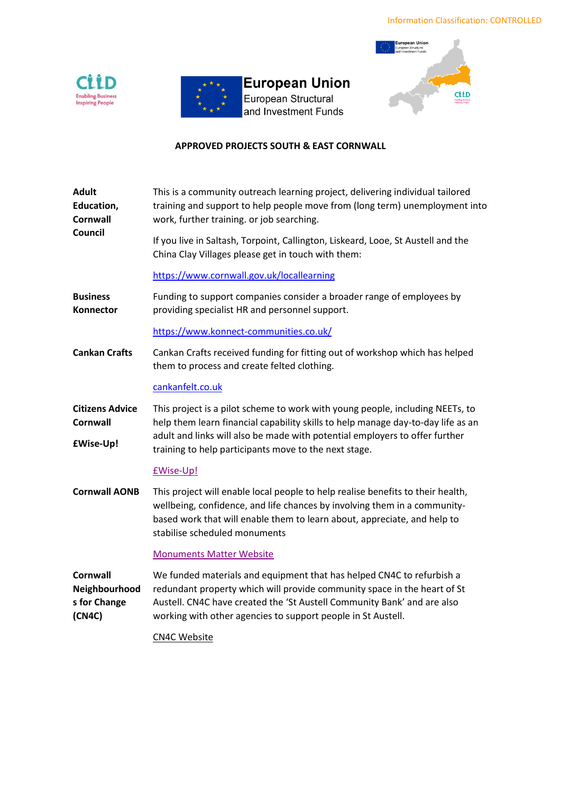



**European Union** European Structural and Investment Funds



# **APPROVED PROJECTS SOUTH & EAST CORNWALL**

| <b>Adult</b><br>Education,<br><b>Cornwall</b><br>Council   | This is a community outreach learning project, delivering individual tailored<br>training and support to help people move from (long term) unemployment into<br>work, further training. or job searching.                                                                                    |
|------------------------------------------------------------|----------------------------------------------------------------------------------------------------------------------------------------------------------------------------------------------------------------------------------------------------------------------------------------------|
|                                                            | If you live in Saltash, Torpoint, Callington, Liskeard, Looe, St Austell and the<br>China Clay Villages please get in touch with them:                                                                                                                                                       |
|                                                            | https://www.cornwall.gov.uk/locallearning                                                                                                                                                                                                                                                    |
| <b>Business</b><br>Konnector                               | Funding to support companies consider a broader range of employees by<br>providing specialist HR and personnel support.                                                                                                                                                                      |
|                                                            | https://www.konnect-communities.co.uk/                                                                                                                                                                                                                                                       |
| <b>Cankan Crafts</b>                                       | Cankan Crafts received funding for fitting out of workshop which has helped<br>them to process and create felted clothing.                                                                                                                                                                   |
|                                                            | cankanfelt.co.uk                                                                                                                                                                                                                                                                             |
| <b>Citizens Advice</b><br>Cornwall                         | This project is a pilot scheme to work with young people, including NEETs, to<br>help them learn financial capability skills to help manage day-to-day life as an                                                                                                                            |
| <b>£Wise-Up!</b>                                           | adult and links will also be made with potential employers to offer further<br>training to help participants move to the next stage.                                                                                                                                                         |
|                                                            | £Wise-Up!                                                                                                                                                                                                                                                                                    |
| <b>Cornwall AONB</b>                                       | This project will enable local people to help realise benefits to their health,<br>wellbeing, confidence, and life chances by involving them in a community-<br>based work that will enable them to learn about, appreciate, and help to<br>stabilise scheduled monuments                    |
|                                                            | <b>Monuments Matter Website</b>                                                                                                                                                                                                                                                              |
| <b>Cornwall</b><br>Neighbourhood<br>s for Change<br>(CN4C) | We funded materials and equipment that has helped CN4C to refurbish a<br>redundant property which will provide community space in the heart of St<br>Austell. CN4C have created the 'St Austell Community Bank' and are also<br>working with other agencies to support people in St Austell. |
|                                                            | <b>CN4C Website</b>                                                                                                                                                                                                                                                                          |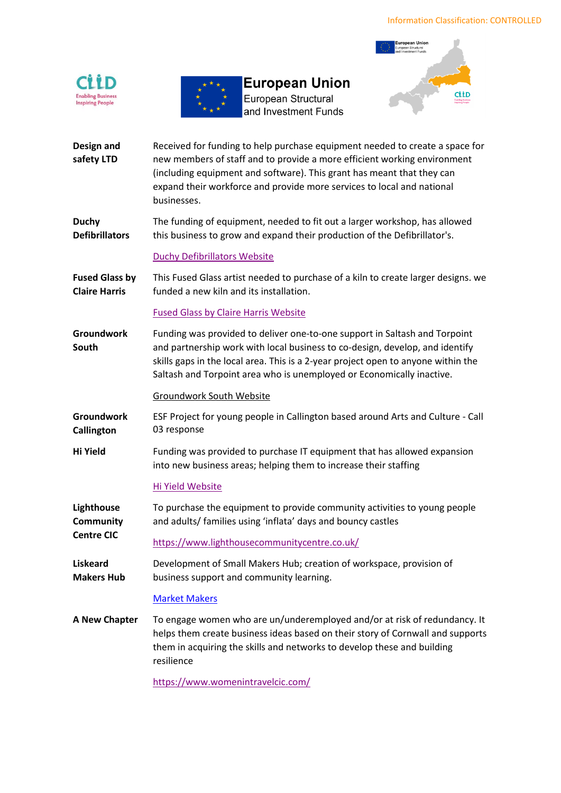



**European Union** 

European Structural and Investment Funds



- **Design and safety LTD** Received for funding to help purchase equipment needed to create a space for new members of staff and to provide a more efficient working environment (including equipment and software). This grant has meant that they can expand their workforce and provide more services to local and national businesses.
- **Duchy Defibrillators**  The funding of equipment, needed to fit out a larger workshop, has allowed this business to grow and expand their production of the Defibrillator's.

## [Duchy Defibrillators Website](https://www.duchydefibs.co.uk/)

**Fused Glass by Claire Harris** This Fused Glass artist needed to purchase of a kiln to create larger designs. we funded a new kiln and its installation.

## [Fused Glass by Claire Harris Website](https://fusedglassbyclaireharris.co.uk/)

**Groundwork South** Funding was provided to deliver one-to-one support in Saltash and Torpoint and partnership work with local business to co-design, develop, and identify skills gaps in the local area. This is a 2-year project open to anyone within the Saltash and Torpoint area who is unemployed or Economically inactive.

[Groundwork South Website](https://www.groundwork.org.uk/hubs/south/)

- **Groundwork Callington**  ESF Project for young people in Callington based around Arts and Culture - Call 03 response
- **Hi Yield** Funding was provided to purchase IT equipment that has allowed expansion into new business areas; helping them to increase their staffing

# [Hi Yield Website](https://hiyield.co.uk/)

**Lighthouse Community**  To purchase the equipment to provide community activities to young people and adults/ families using 'inflata' days and bouncy castles

**Centre CIC** <https://www.lighthousecommunitycentre.co.uk/>

**Liskeard Makers Hub** Development of Small Makers Hub; creation of workspace, provision of business support and community learning.

### [Market Makers](https://www.marketmakers.org.uk/)

**A New Chapter** To engage women who are un/underemployed and/or at risk of redundancy. It helps them create business ideas based on their story of Cornwall and supports them in acquiring the skills and networks to develop these and building resilience

<https://www.womenintravelcic.com/>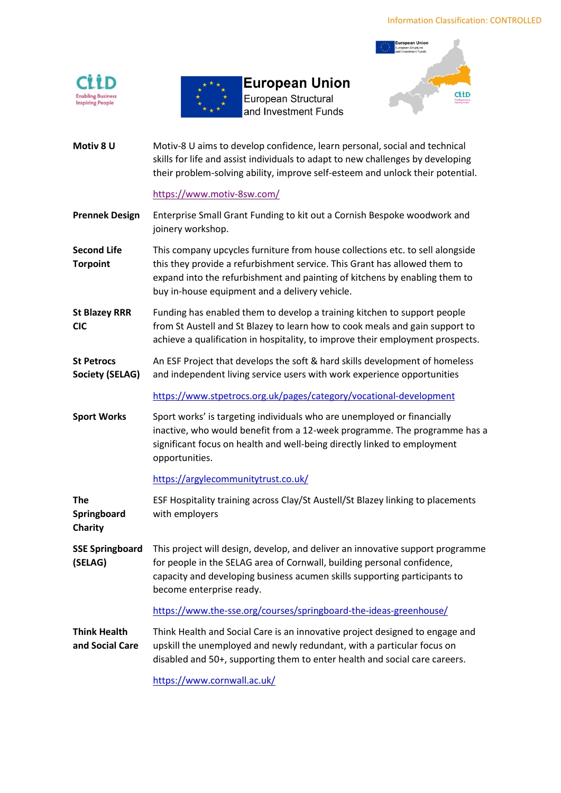



**European Union** European Structural and Investment Funds



**Motiv 8 U** Motiv-8 U aims to develop confidence, learn personal, social and technical skills for life and assist individuals to adapt to new challenges by developing their problem-solving ability, improve self-esteem and unlock their potential.

#### <https://www.motiv-8sw.com/>

- **Prennek Design** Enterprise Small Grant Funding to kit out a Cornish Bespoke woodwork and joinery workshop.
- **Second Life Torpoint** This company upcycles furniture from house collections etc. to sell alongside this they provide a refurbishment service. This Grant has allowed them to expand into the refurbishment and painting of kitchens by enabling them to buy in-house equipment and a delivery vehicle.
- **St Blazey RRR CIC** Funding has enabled them to develop a training kitchen to support people from St Austell and St Blazey to learn how to cook meals and gain support to achieve a qualification in hospitality, to improve their employment prospects.
- **St Petrocs Society (SELAG)** An ESF Project that develops the soft & hard skills development of homeless and independent living service users with work experience opportunities

[https://www.stpetrocs.org.uk/pages/category/vocational-development](https://eur03.safelinks.protection.outlook.com/?url=https%3A%2F%2Fwww.stpetrocs.org.uk%2Fpages%2Fcategory%2Fvocational-development&data=04%7C01%7CAlan.Pottinger%40cornwalldevelopmentcompany.co.uk%7C87bd4f5ada7b40e4015f08d9f207c9a3%7Cefaa16aad1de4d58ba2e2833fdfdd29f%7C0%7C0%7C637806937528414214%7CUnknown%7CTWFpbGZsb3d8eyJWIjoiMC4wLjAwMDAiLCJQIjoiV2luMzIiLCJBTiI6Ik1haWwiLCJXVCI6Mn0%3D%7C3000&sdata=BZoL7kDnJ9d%2Fov7M9whjoR%2BUdaYZZo1EO3E%2FjJmvAcA%3D&reserved=0)

**Sport Works** Sport works' is targeting individuals who are unemployed or financially inactive, who would benefit from a 12-week programme. The programme has a significant focus on health and well-being directly linked to employment opportunities.

#### <https://argylecommunitytrust.co.uk/>

- **The Springboard Charity** ESF Hospitality training across Clay/St Austell/St Blazey linking to placements with employers
- **SSE Springboard (SELAG)** This project will design, develop, and deliver an innovative support programme for people in the SELAG area of Cornwall, building personal confidence, capacity and developing business acumen skills supporting participants to become enterprise ready.

<https://www.the-sse.org/courses/springboard-the-ideas-greenhouse/>

**Think Health and Social Care** Think Health and Social Care is an innovative project designed to engage and upskill the unemployed and newly redundant, with a particular focus on disabled and 50+, supporting them to enter health and social care careers.

<https://www.cornwall.ac.uk/>